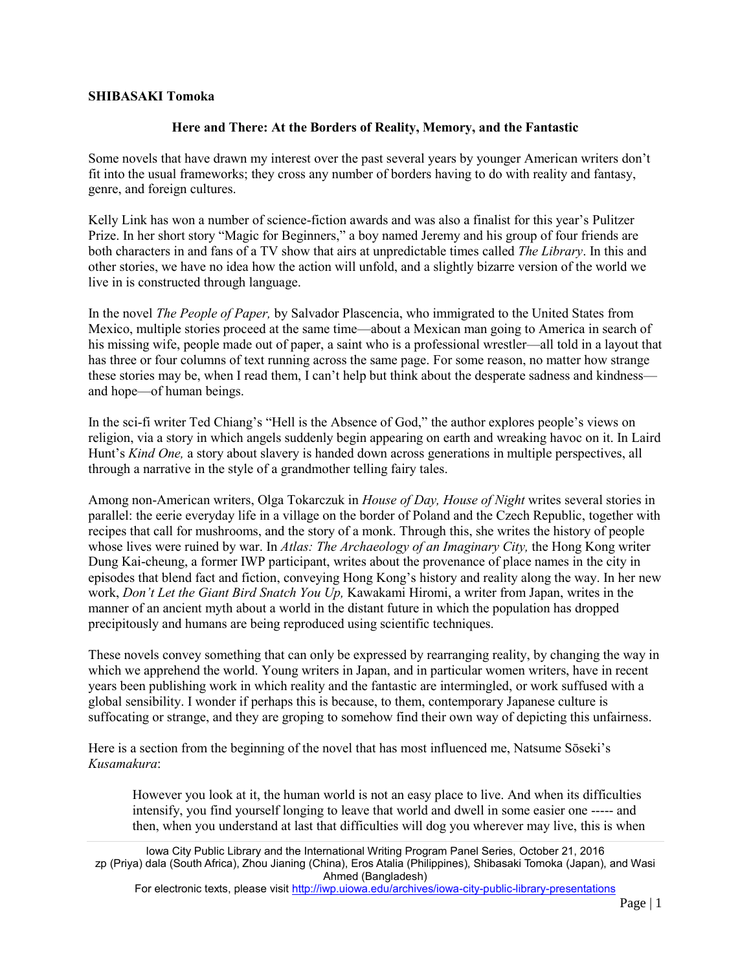## **SHIBASAKI Tomoka**

## **Here and There: At the Borders of Reality, Memory, and the Fantastic**

Some novels that have drawn my interest over the past several years by younger American writers don't fit into the usual frameworks; they cross any number of borders having to do with reality and fantasy, genre, and foreign cultures.

Kelly Link has won a number of science-fiction awards and was also a finalist for this year's Pulitzer Prize. In her short story "Magic for Beginners," a boy named Jeremy and his group of four friends are both characters in and fans of a TV show that airs at unpredictable times called *The Library*. In this and other stories, we have no idea how the action will unfold, and a slightly bizarre version of the world we live in is constructed through language.

In the novel *The People of Paper,* by Salvador Plascencia, who immigrated to the United States from Mexico, multiple stories proceed at the same time—about a Mexican man going to America in search of his missing wife, people made out of paper, a saint who is a professional wrestler—all told in a layout that has three or four columns of text running across the same page. For some reason, no matter how strange these stories may be, when I read them, I can't help but think about the desperate sadness and kindness and hope—of human beings.

In the sci-fi writer Ted Chiang's "Hell is the Absence of God," the author explores people's views on religion, via a story in which angels suddenly begin appearing on earth and wreaking havoc on it. In Laird Hunt's *Kind One,* a story about slavery is handed down across generations in multiple perspectives, all through a narrative in the style of a grandmother telling fairy tales.

Among non-American writers, Olga Tokarczuk in *House of Day, House of Night* writes several stories in parallel: the eerie everyday life in a village on the border of Poland and the Czech Republic, together with recipes that call for mushrooms, and the story of a monk. Through this, she writes the history of people whose lives were ruined by war. In *Atlas: The Archaeology of an Imaginary City,* the Hong Kong writer Dung Kai-cheung, a former IWP participant, writes about the provenance of place names in the city in episodes that blend fact and fiction, conveying Hong Kong's history and reality along the way. In her new work, *Don't Let the Giant Bird Snatch You Up,* Kawakami Hiromi, a writer from Japan, writes in the manner of an ancient myth about a world in the distant future in which the population has dropped precipitously and humans are being reproduced using scientific techniques.

These novels convey something that can only be expressed by rearranging reality, by changing the way in which we apprehend the world. Young writers in Japan, and in particular women writers, have in recent years been publishing work in which reality and the fantastic are intermingled, or work suffused with a global sensibility. I wonder if perhaps this is because, to them, contemporary Japanese culture is suffocating or strange, and they are groping to somehow find their own way of depicting this unfairness.

Here is a section from the beginning of the novel that has most influenced me, Natsume Sōseki's *Kusamakura*:

However you look at it, the human world is not an easy place to live. And when its difficulties intensify, you find yourself longing to leave that world and dwell in some easier one ----- and then, when you understand at last that difficulties will dog you wherever may live, this is when

Iowa City Public Library and the International Writing Program Panel Series, October 21, 2016 zp (Priya) dala (South Africa), Zhou Jianing (China), Eros Atalia (Philippines), Shibasaki Tomoka (Japan), and Wasi Ahmed (Bangladesh)

For electronic texts, please visit<http://iwp.uiowa.edu/archives/iowa-city-public-library-presentations>